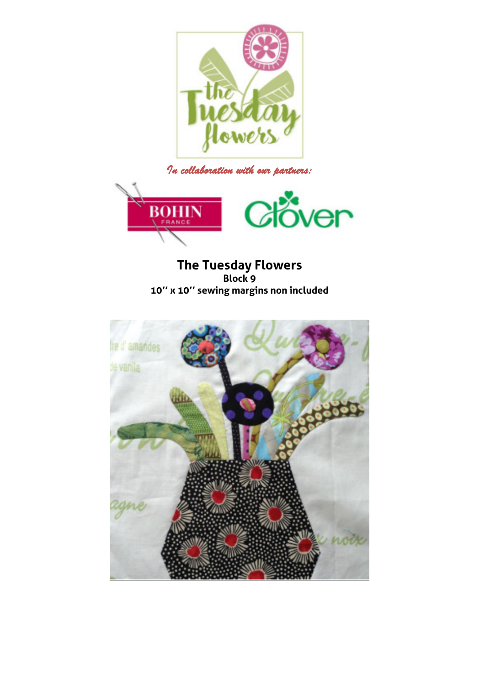

*In collaboration with our partners:* 



**The Tuesday Flowers Block 9 10'' x 10'' sewing margins non included** 

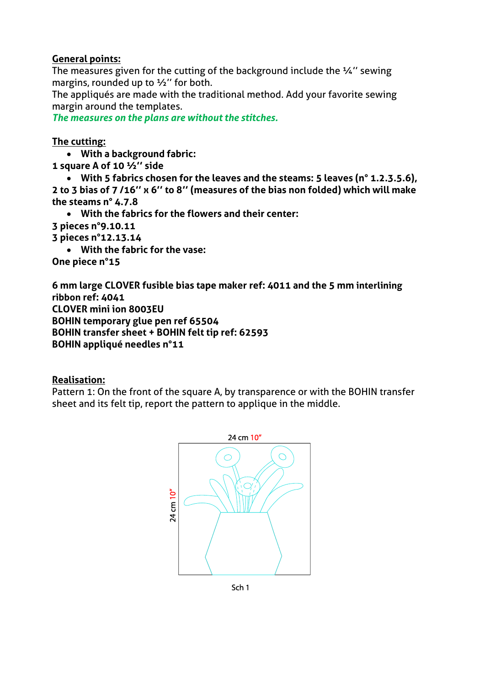## **General points:**

The measures given for the cutting of the background include the ¼'' sewing margins, rounded up to 1/2" for both.

The appliqués are made with the traditional method. Add your favorite sewing margin around the templates.

*The measures on the plans are without the stitches.* 

## **The cutting:**

- **With a background fabric:**
- **1 square A of 10 ½'' side**
- **With 5 fabrics chosen for the leaves and the steams: 5 leaves (n° 1.2.3.5.6), 2 to 3 bias of 7 /16'' x 6'' to 8'' (measures of the bias non folded) which will make the steams n° 4.7.8** 
	- **With the fabrics for the flowers and their center:**
- **3 pieces n°9.10.11**
- **3 pieces n°12.13.14** 
	- **With the fabric for the vase:**

**One piece n°15** 

**6 mm large CLOVER fusible bias tape maker ref: 4011 and the 5 mm interlining ribbon ref: 4041 CLOVER mini ion 8003EU BOHIN temporary glue pen ref 65504 BOHIN transfer sheet + BOHIN felt tip ref: 62593 BOHIN appliqué needles n°11** 

## **Realisation:**

Pattern 1: On the front of the square A, by transparence or with the BOHIN transfer sheet and its felt tip, report the pattern to applique in the middle.



Sch<sub>1</sub>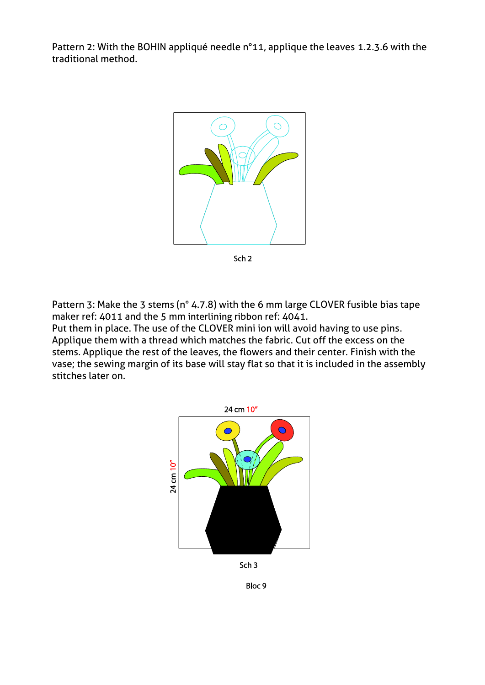Pattern 2: With the BOHIN appliqué needle n°11, applique the leaves 1.2.3.6 with the traditional method.



Sch<sub>2</sub>

Pattern 3: Make the 3 stems (n° 4.7.8) with the 6 mm large CLOVER fusible bias tape maker ref: 4011 and the 5 mm interlining ribbon ref: 4041.

Put them in place. The use of the CLOVER mini ion will avoid having to use pins. Applique them with a thread which matches the fabric. Cut off the excess on the stems. Applique the rest of the leaves, the flowers and their center. Finish with the vase; the sewing margin of its base will stay flat so that it is included in the assembly stitches later on.